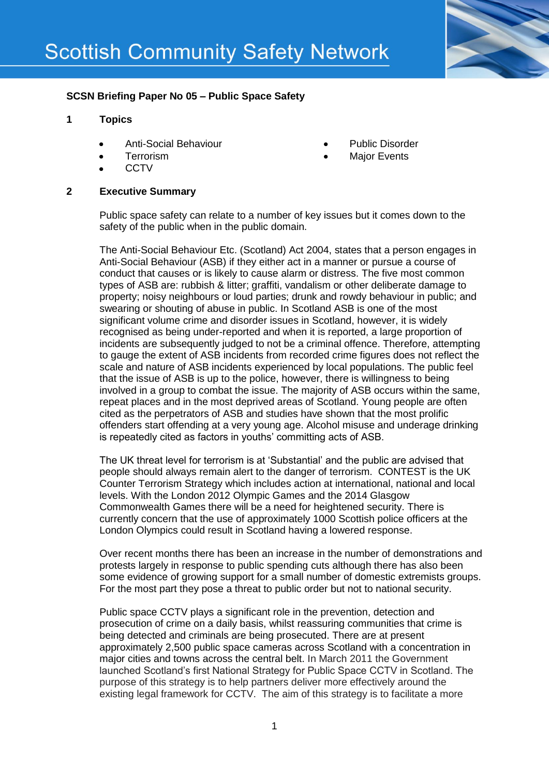

## **SCSN Briefing Paper No 05 – Public Space Safety**

### **1 Topics**

- Anti-Social Behaviour
- **Terrorism**
- **CCTV**

# **2 Executive Summary**

- Public Disorder
- Major Events
- Public space safety can relate to a number of key issues but it comes down to the safety of the public when in the public domain.

The Anti-Social Behaviour Etc. (Scotland) Act 2004, states that a person engages in Anti-Social Behaviour (ASB) if they either act in a manner or pursue a course of conduct that causes or is likely to cause alarm or distress. The five most common types of ASB are: rubbish & litter; graffiti, vandalism or other deliberate damage to property; noisy neighbours or loud parties; drunk and rowdy behaviour in public; and swearing or shouting of abuse in public. In Scotland ASB is one of the most significant volume crime and disorder issues in Scotland, however, it is widely recognised as being under-reported and when it is reported, a large proportion of incidents are subsequently judged to not be a criminal offence. Therefore, attempting to gauge the extent of ASB incidents from recorded crime figures does not reflect the scale and nature of ASB incidents experienced by local populations. The public feel that the issue of ASB is up to the police, however, there is willingness to being involved in a group to combat the issue. The majority of ASB occurs within the same, repeat places and in the most deprived areas of Scotland. Young people are often cited as the perpetrators of ASB and studies have shown that the most prolific offenders start offending at a very young age. Alcohol misuse and underage drinking is repeatedly cited as factors in youths' committing acts of ASB.

The UK threat level for terrorism is at 'Substantial' and the public are advised that people should always remain alert to the danger of terrorism. CONTEST is the UK Counter Terrorism Strategy which includes action at international, national and local levels. With the London 2012 Olympic Games and the 2014 Glasgow Commonwealth Games there will be a need for heightened security. There is currently concern that the use of approximately 1000 Scottish police officers at the London Olympics could result in Scotland having a lowered response.

Over recent months there has been an increase in the number of demonstrations and protests largely in response to public spending cuts although there has also been some evidence of growing support for a small number of domestic extremists groups. For the most part they pose a threat to public order but not to national security.

Public space CCTV plays a significant role in the prevention, detection and prosecution of crime on a daily basis, whilst reassuring communities that crime is being detected and criminals are being prosecuted. There are at present approximately 2,500 public space cameras across Scotland with a concentration in major cities and towns across the central belt. In March 2011 the Government launched Scotland's first National Strategy for Public Space CCTV in Scotland. The purpose of this strategy is to help partners deliver more effectively around the existing legal framework for CCTV. The aim of this strategy is to facilitate a more